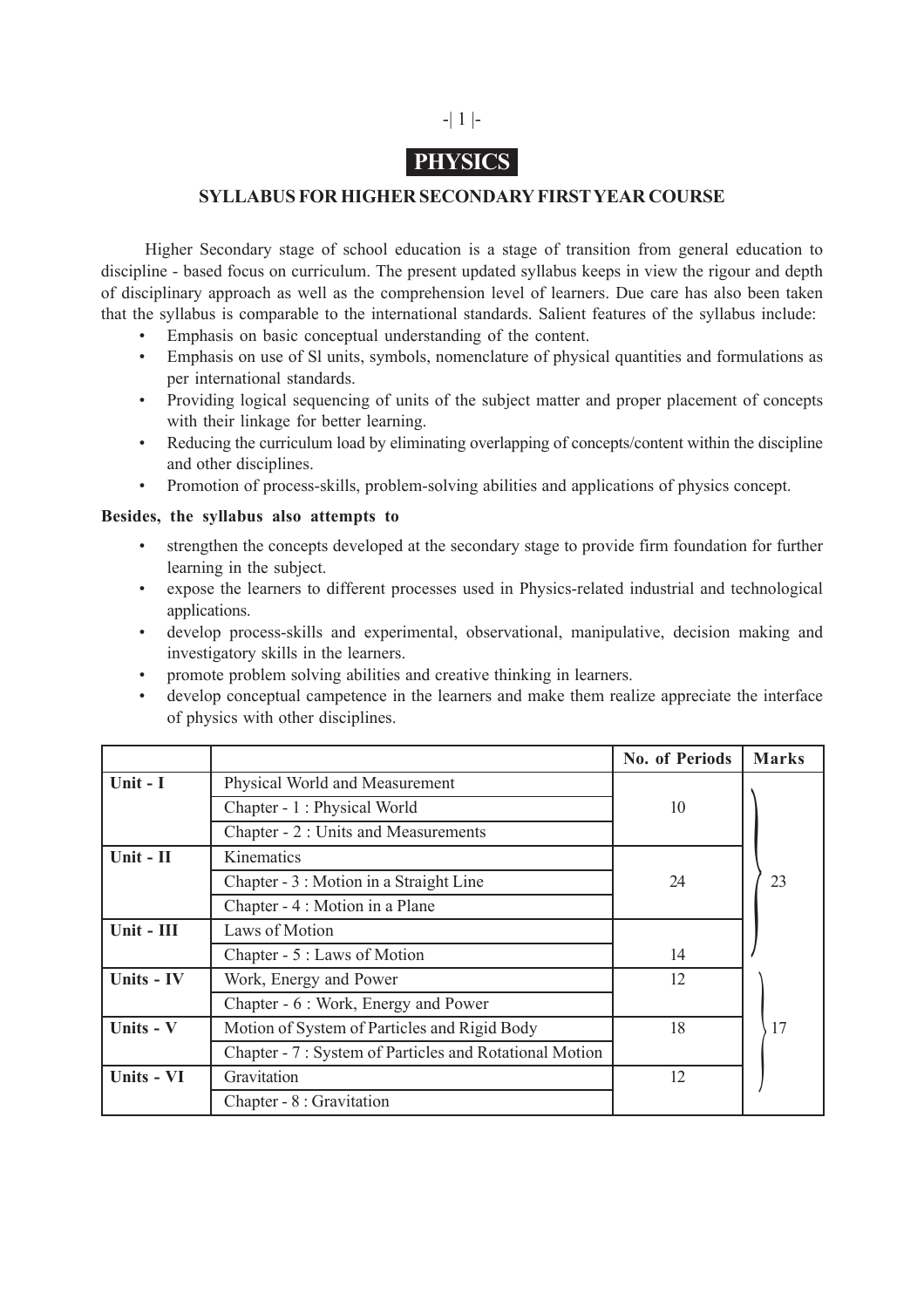

# **PHYSICS**

### **SYLLABUS FOR HIGHER SECONDARY FIRST YEAR COURSE**

Higher Secondary stage of school education is a stage of transition from general education to discipline - based focus on curriculum. The present updated syllabus keeps in view the rigour and depth of disciplinary approach as well as the comprehension level of learners. Due care has also been taken that the syllabus is comparable to the international standards. Salient features of the syllabus include:

- Emphasis on basic conceptual understanding of the content.
- Emphasis on use of Sl units, symbols, nomenclature of physical quantities and formulations as per international standards.
- Providing logical sequencing of units of the subject matter and proper placement of concepts with their linkage for better learning.
- Reducing the curriculum load by eliminating overlapping of concepts/content within the discipline and other disciplines.
- Promotion of process-skills, problem-solving abilities and applications of physics concept.

#### **Besides, the syllabus also attempts to**

- strengthen the concepts developed at the secondary stage to provide firm foundation for further learning in the subject.
- expose the learners to different processes used in Physics-related industrial and technological applications.
- develop process-skills and experimental, observational, manipulative, decision making and investigatory skills in the learners.
- promote problem solving abilities and creative thinking in learners.
- develop conceptual campetence in the learners and make them realize appreciate the interface of physics with other disciplines.

|              |                                                         | <b>No. of Periods</b> | <b>Marks</b> |
|--------------|---------------------------------------------------------|-----------------------|--------------|
| Unit - $I$   | Physical World and Measurement                          |                       |              |
|              | Chapter - 1 : Physical World                            | 10                    |              |
|              | Chapter - 2 : Units and Measurements                    |                       |              |
| Unit - II    | Kinematics                                              |                       |              |
|              | Chapter - 3 : Motion in a Straight Line                 | 24                    | 23           |
|              | Chapter - 4 : Motion in a Plane                         |                       |              |
| $Unit - III$ | Laws of Motion                                          |                       |              |
|              | Chapter - 5 : Laws of Motion                            | 14                    |              |
| Units - IV   | Work, Energy and Power                                  | 12                    |              |
|              | Chapter - 6 : Work, Energy and Power                    |                       |              |
| Units - V    | Motion of System of Particles and Rigid Body            | 18                    | 17           |
|              | Chapter - 7 : System of Particles and Rotational Motion |                       |              |
| Units - VI   | Gravitation                                             | 12                    |              |
|              | Chapter - 8 : Gravitation                               |                       |              |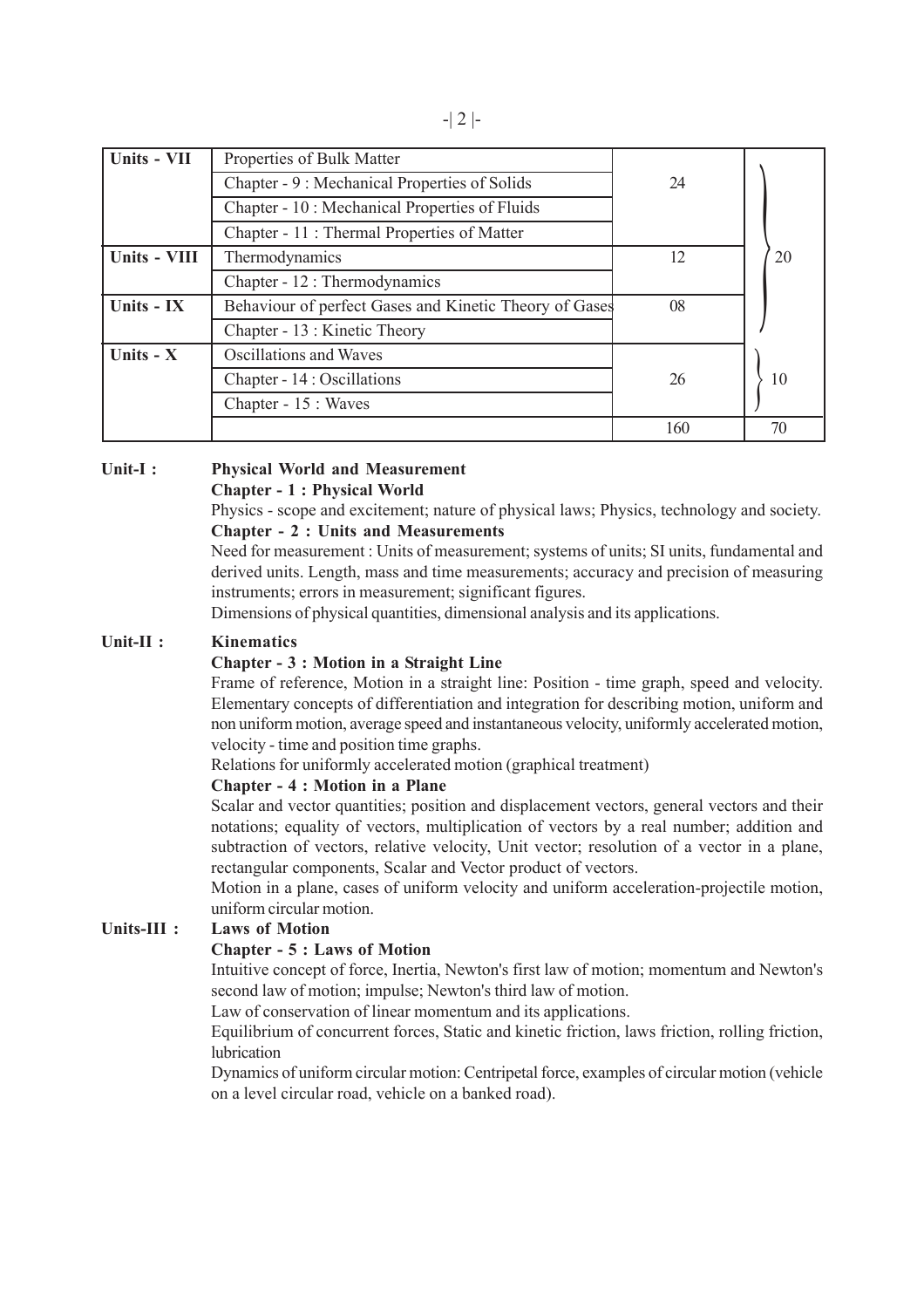| Units - VII  | Properties of Bulk Matter                              |     |    |
|--------------|--------------------------------------------------------|-----|----|
|              | Chapter - 9 : Mechanical Properties of Solids          | 24  |    |
|              | Chapter - 10 : Mechanical Properties of Fluids         |     |    |
|              | Chapter - 11: Thermal Properties of Matter             |     |    |
| Units - VIII | Thermodynamics                                         | 12  | 20 |
|              | Chapter - 12 : Thermodynamics                          |     |    |
| Units - IX   | Behaviour of perfect Gases and Kinetic Theory of Gases | 08  |    |
|              | Chapter - 13 : Kinetic Theory                          |     |    |
| Units - X    | Oscillations and Waves                                 |     |    |
|              | Chapter - 14 : Oscillations                            | 26  | 10 |
|              | Chapter - 15 : Waves                                   |     |    |
|              |                                                        | 160 | 70 |

#### **Unit-I : Physical World and Measurement Chapter - 1 : Physical World**

Physics - scope and excitement; nature of physical laws; Physics, technology and society. **Chapter - 2 : Units and Measurements**

Need for measurement : Units of measurement; systems of units; SI units, fundamental and derived units. Length, mass and time measurements; accuracy and precision of measuring instruments; errors in measurement; significant figures.

Dimensions of physical quantities, dimensional analysis and its applications.

### **Unit-II : Kinematics**

#### **Chapter - 3 : Motion in a Straight Line**

Frame of reference, Motion in a straight line: Position - time graph, speed and velocity. Elementary concepts of differentiation and integration for describing motion, uniform and non uniform motion, average speed and instantaneous velocity, uniformly accelerated motion, velocity - time and position time graphs.

Relations for uniformly accelerated motion (graphical treatment)

#### **Chapter - 4 : Motion in a Plane**

Scalar and vector quantities; position and displacement vectors, general vectors and their notations; equality of vectors, multiplication of vectors by a real number; addition and subtraction of vectors, relative velocity, Unit vector; resolution of a vector in a plane, rectangular components, Scalar and Vector product of vectors.

Motion in a plane, cases of uniform velocity and uniform acceleration-projectile motion, uniform circular motion.

### **Units-III : Laws of Motion**

#### **Chapter - 5 : Laws of Motion**

Intuitive concept of force, Inertia, Newton's first law of motion; momentum and Newton's second law of motion; impulse; Newton's third law of motion.

Law of conservation of linear momentum and its applications.

Equilibrium of concurrent forces, Static and kinetic friction, laws friction, rolling friction, lubrication

Dynamics of uniform circular motion: Centripetal force, examples of circular motion (vehicle on a level circular road, vehicle on a banked road).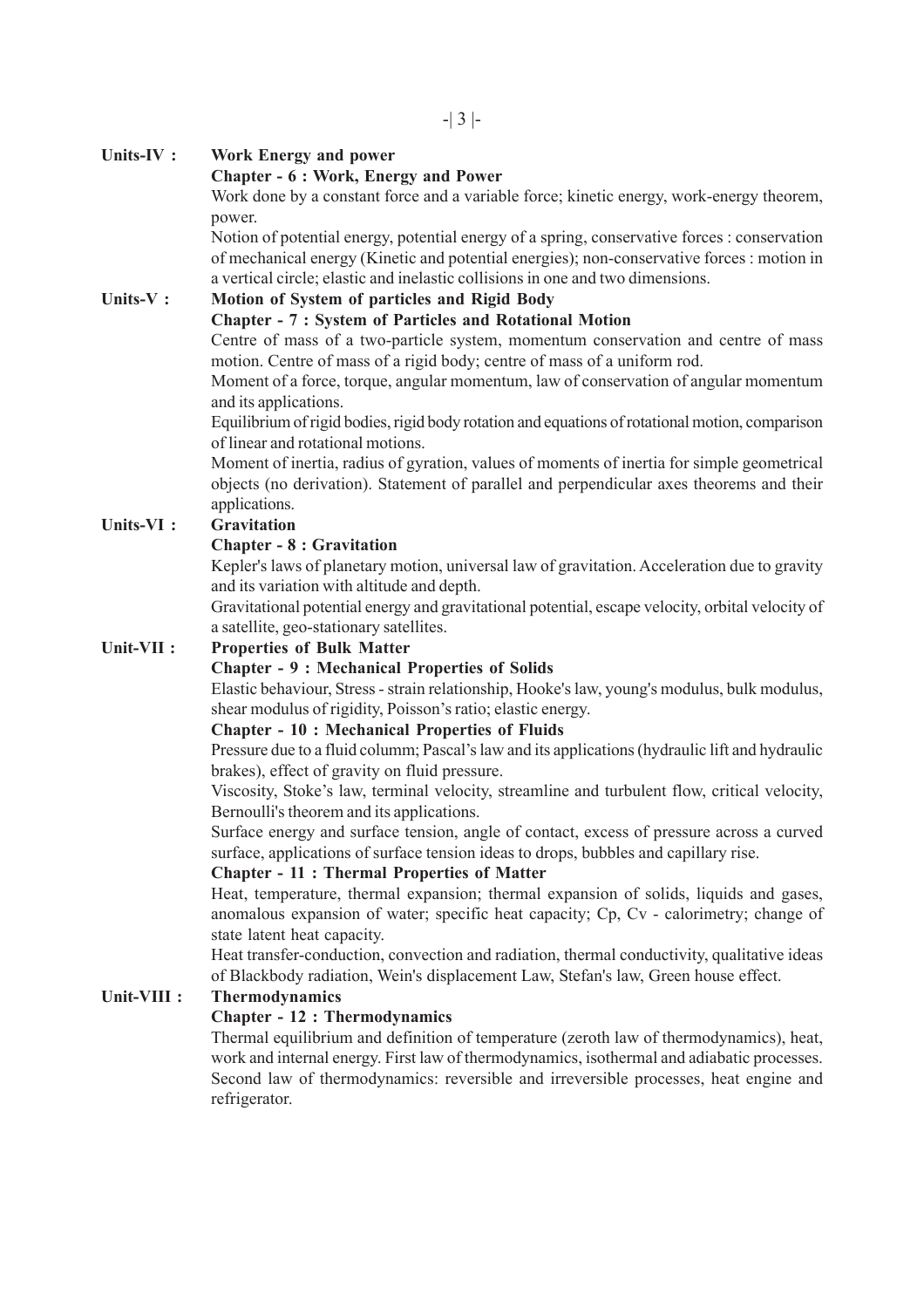### **Units-IV : Work Energy and power**

# **Chapter - 6 : Work, Energy and Power**

Work done by a constant force and a variable force; kinetic energy, work-energy theorem, power.

Notion of potential energy, potential energy of a spring, conservative forces : conservation of mechanical energy (Kinetic and potential energies); non-conservative forces : motion in a vertical circle; elastic and inelastic collisions in one and two dimensions.

# **Units-V : Motion of System of particles and Rigid Body**

### **Chapter - 7 : System of Particles and Rotational Motion**

Centre of mass of a two-particle system, momentum conservation and centre of mass motion. Centre of mass of a rigid body; centre of mass of a uniform rod.

Moment of a force, torque, angular momentum, law of conservation of angular momentum and its applications.

Equilibrium of rigid bodies, rigid body rotation and equations of rotational motion, comparison of linear and rotational motions.

Moment of inertia, radius of gyration, values of moments of inertia for simple geometrical objects (no derivation). Statement of parallel and perpendicular axes theorems and their applications.

## **Units-VI : Gravitation**

#### **Chapter - 8 : Gravitation**

Kepler's laws of planetary motion, universal law of gravitation. Acceleration due to gravity and its variation with altitude and depth.

Gravitational potential energy and gravitational potential, escape velocity, orbital velocity of a satellite, geo-stationary satellites.

### **Unit-VII : Properties of Bulk Matter**

### **Chapter - 9 : Mechanical Properties of Solids**

Elastic behaviour, Stress - strain relationship, Hooke's law, young's modulus, bulk modulus, shear modulus of rigidity, Poisson's ratio; elastic energy.

#### **Chapter - 10 : Mechanical Properties of Fluids**

Pressure due to a fluid columm; Pascal's law and its applications (hydraulic lift and hydraulic brakes), effect of gravity on fluid pressure.

Viscosity, Stoke's law, terminal velocity, streamline and turbulent flow, critical velocity, Bernoulli's theorem and its applications.

Surface energy and surface tension, angle of contact, excess of pressure across a curved surface, applications of surface tension ideas to drops, bubbles and capillary rise.

#### **Chapter - 11 : Thermal Properties of Matter**

Heat, temperature, thermal expansion; thermal expansion of solids, liquids and gases, anomalous expansion of water; specific heat capacity; Cp, Cv - calorimetry; change of state latent heat capacity.

Heat transfer-conduction, convection and radiation, thermal conductivity, qualitative ideas of Blackbody radiation, Wein's displacement Law, Stefan's law, Green house effect.

### **Unit-VIII : Thermodynamics**

### **Chapter - 12 : Thermodynamics**

Thermal equilibrium and definition of temperature (zeroth law of thermodynamics), heat, work and internal energy. First law of thermodynamics, isothermal and adiabatic processes. Second law of thermodynamics: reversible and irreversible processes, heat engine and refrigerator.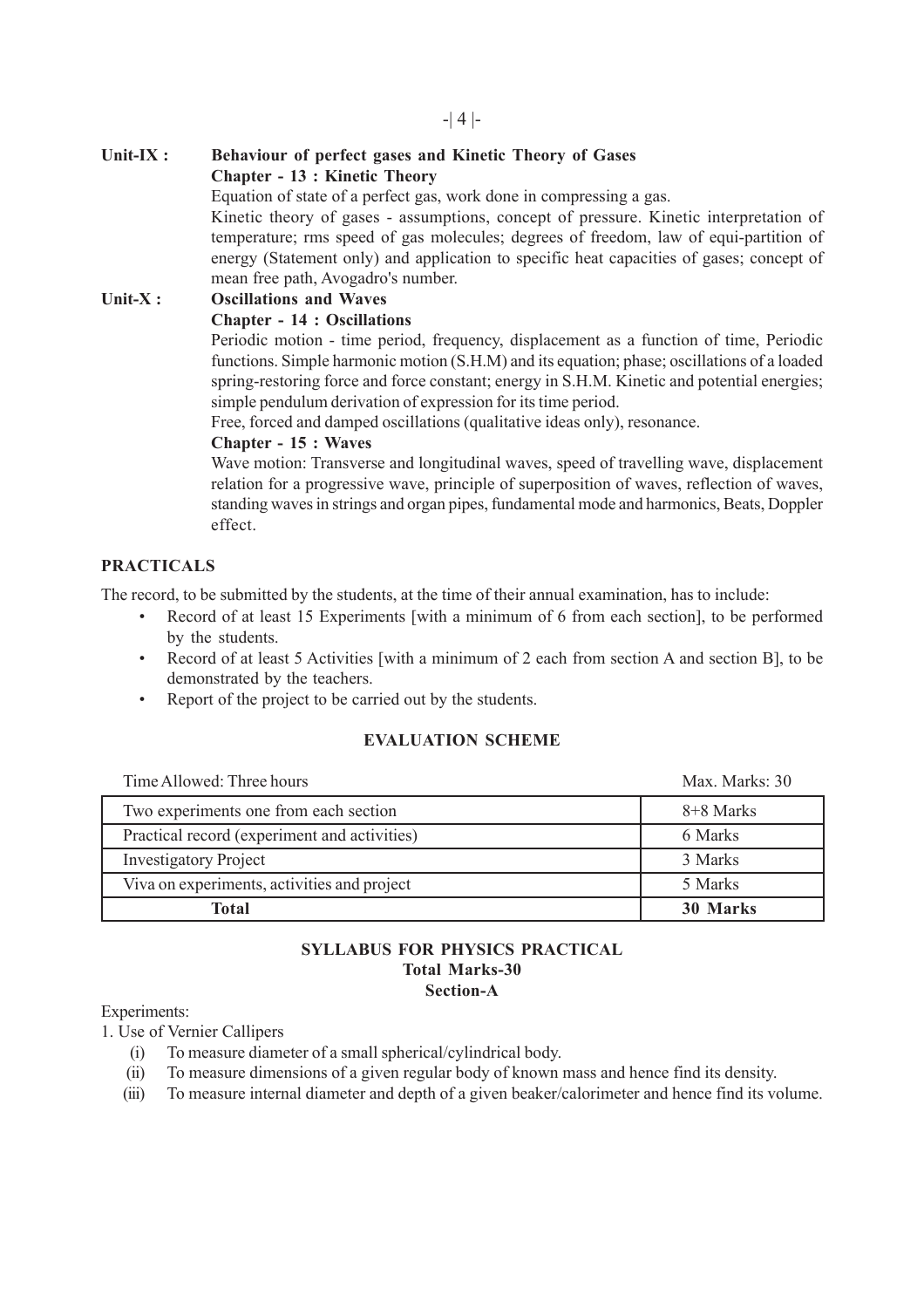# -| 4 |-

### **Unit-IX : Behaviour of perfect gases and Kinetic Theory of Gases Chapter - 13 : Kinetic Theory**

Equation of state of a perfect gas, work done in compressing a gas.

Kinetic theory of gases - assumptions, concept of pressure. Kinetic interpretation of temperature; rms speed of gas molecules; degrees of freedom, law of equi-partition of energy (Statement only) and application to specific heat capacities of gases; concept of mean free path, Avogadro's number.

**Unit-X : Oscillations and Waves Chapter - 14 : Oscillations**

Periodic motion - time period, frequency, displacement as a function of time, Periodic functions. Simple harmonic motion (S.H.M) and its equation; phase; oscillations of a loaded spring-restoring force and force constant; energy in S.H.M. Kinetic and potential energies; simple pendulum derivation of expression for its time period.

Free, forced and damped oscillations (qualitative ideas only), resonance.

#### **Chapter - 15 : Waves**

Wave motion: Transverse and longitudinal waves, speed of travelling wave, displacement relation for a progressive wave, principle of superposition of waves, reflection of waves, standing waves in strings and organ pipes, fundamental mode and harmonics, Beats, Doppler effect.

# **PRACTICALS**

The record, to be submitted by the students, at the time of their annual examination, has to include:

- Record of at least 15 Experiments [with a minimum of 6 from each section], to be performed by the students.
- Record of at least 5 Activities [with a minimum of 2 each from section A and section B], to be demonstrated by the teachers.
- Report of the project to be carried out by the students.

### **EVALUATION SCHEME**

| Time Allowed: Three hours                    | Max. Marks: 30 |
|----------------------------------------------|----------------|
| Two experiments one from each section        | 8+8 Marks      |
| Practical record (experiment and activities) | 6 Marks        |
| <b>Investigatory Project</b>                 | 3 Marks        |
| Viva on experiments, activities and project  | 5 Marks        |
| Total                                        | 30 Marks       |

#### **SYLLABUS FOR PHYSICS PRACTICAL Total Marks-30 Section-A**

Experiments:

1. Use of Vernier Callipers

- (i) To measure diameter of a small spherical/cylindrical body.
- (ii) To measure dimensions of a given regular body of known mass and hence find its density.
- (iii) To measure internal diameter and depth of a given beaker/calorimeter and hence find its volume.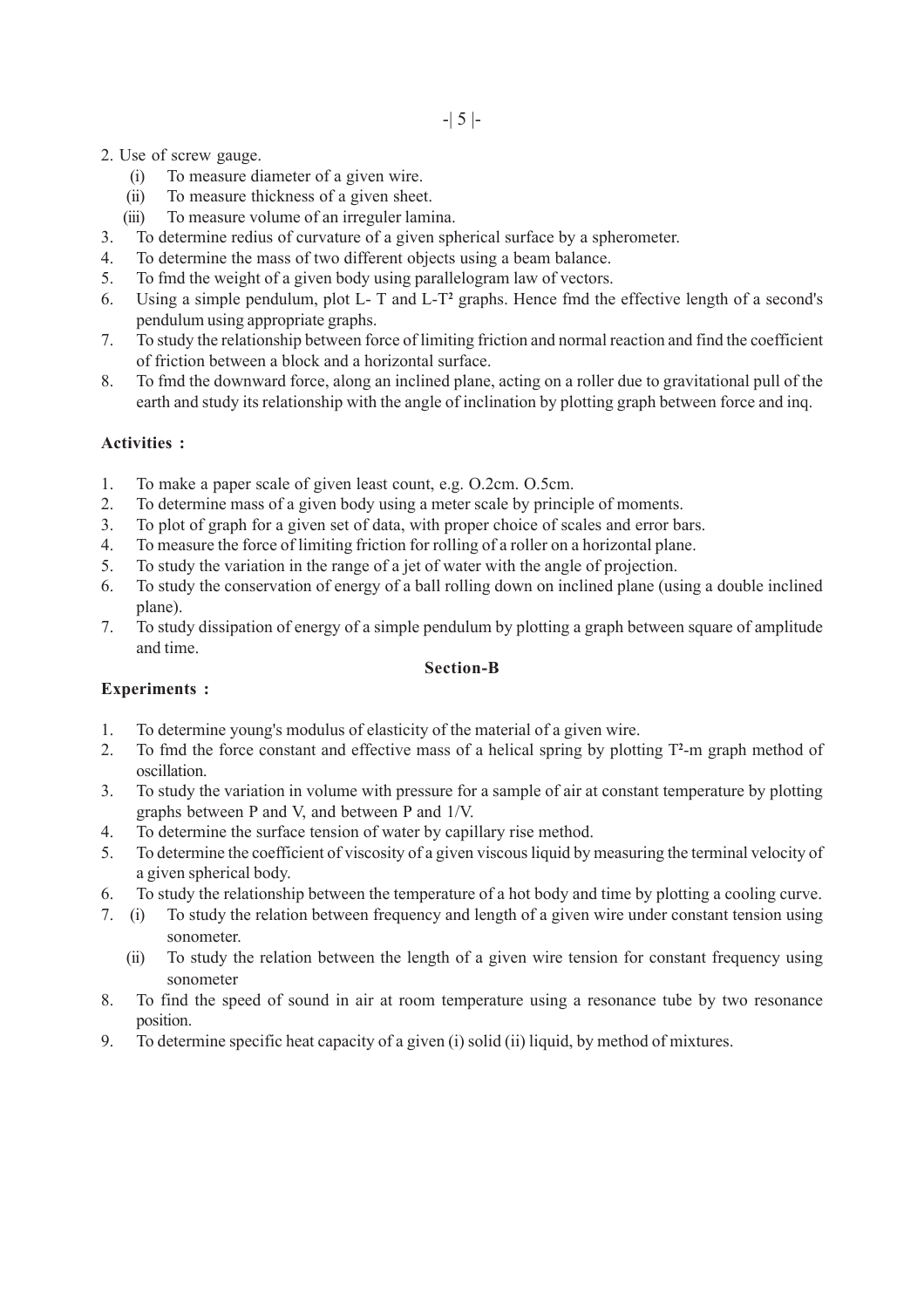- 2. Use of screw gauge.
	- (i) To measure diameter of a given wire.
	- (ii) To measure thickness of a given sheet.
	- (iii) To measure volume of an irreguler lamina.
- 3. To determine redius of curvature of a given spherical surface by a spherometer.
- 4. To determine the mass of two different objects using a beam balance.
- 5. To fmd the weight of a given body using parallelogram law of vectors.
- 6. Using a simple pendulum, plot L- T and L-T**<sup>2</sup>** graphs. Hence fmd the effective length of a second's pendulum using appropriate graphs.
- 7. To study the relationship between force of limiting friction and normal reaction and find the coefficient of friction between a block and a horizontal surface.
- 8. To fmd the downward force, along an inclined plane, acting on a roller due to gravitational pull of the earth and study its relationship with the angle of inclination by plotting graph between force and inq.

#### **Activities :**

- 1. To make a paper scale of given least count, e.g. O.2cm. O.5cm.
- 2. To determine mass of a given body using a meter scale by principle of moments.
- 3. To plot of graph for a given set of data, with proper choice of scales and error bars.
- 4. To measure the force of limiting friction for rolling of a roller on a horizontal plane.
- 5. To study the variation in the range of a jet of water with the angle of projection.
- 6. To study the conservation of energy of a ball rolling down on inclined plane (using a double inclined plane).
- 7. To study dissipation of energy of a simple pendulum by plotting a graph between square of amplitude and time.

#### **Section-B**

### **Experiments :**

- 1. To determine young's modulus of elasticity of the material of a given wire.
- 2. To fmd the force constant and effective mass of a helical spring by plotting T**<sup>2</sup>** -m graph method of oscillation.
- 3. To study the variation in volume with pressure for a sample of air at constant temperature by plotting graphs between P and V, and between P and 1/V.
- 4. To determine the surface tension of water by capillary rise method.
- 5. To determine the coefficient of viscosity of a given viscous liquid by measuring the terminal velocity of a given spherical body.
- 6. To study the relationship between the temperature of a hot body and time by plotting a cooling curve.
- 7. (i) To study the relation between frequency and length of a given wire under constant tension using sonometer.
	- (ii) To study the relation between the length of a given wire tension for constant frequency using sonometer
- 8. To find the speed of sound in air at room temperature using a resonance tube by two resonance position.
- 9. To determine specific heat capacity of a given (i) solid (ii) liquid, by method of mixtures.